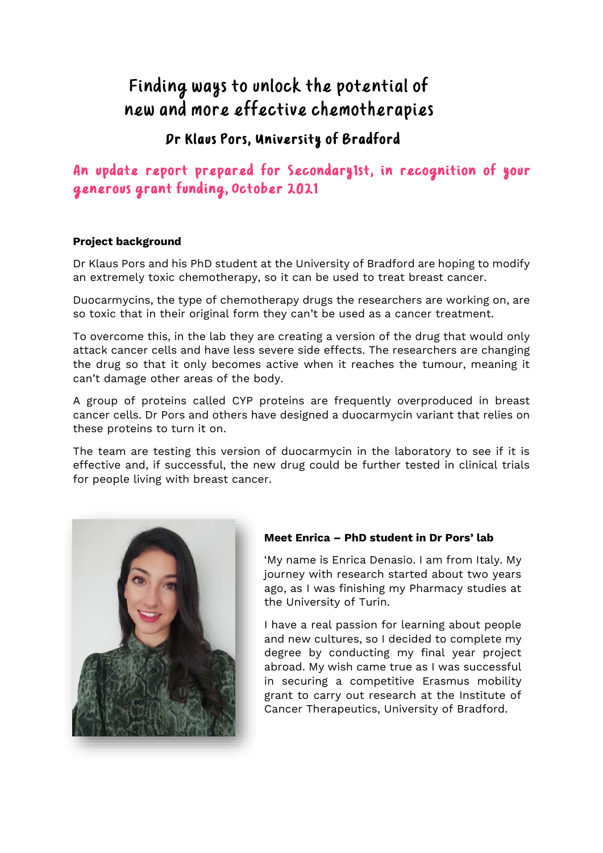# Finding ways to unlock the potential of new and more effective chemotherapies

## Dr Klaus Pors, University of Bradford

### An update report prepared for Secondary1st, in recognition of your generous grant funding, October 2021

### **Project background**

Dr Klaus Pors and his PhD student at the University of Bradford are hoping to modify an extremely toxic chemotherapy, so it can be used to treat breast cancer.

Duocarmycins, the type of chemotherapy drugs the researchers are working on, are so toxic that in their original form they can't be used as a cancer treatment.

To overcome this, in the lab they are creating a version of the drug that would only attack cancer cells and have less severe side effects. The researchers are changing the drug so that it only becomes active when it reaches the tumour, meaning it can't damage other areas of the body.

A group of proteins called CYP proteins are frequently overproduced in breast cancer cells. Dr Pors and others have designed a duocarmycin variant that relies on these proteins to turn it on.

The team are testing this version of duocarmycin in the laboratory to see if it is effective and, if successful, the new drug could be further tested in clinical trials for people living with breast cancer.



### **Meet Enrica – PhD student in Dr Pors' lab**

'My name is Enrica Denasio. I am from Italy. My journey with research started about two years ago, as I was finishing my Pharmacy studies at the University of Turin.

I have a real passion for learning about people and new cultures, so I decided to complete my degree by conducting my final year project abroad. My wish came true as I was successful in securing a competitive Erasmus mobility grant to carry out research at the Institute of Cancer Therapeutics, University of Bradford.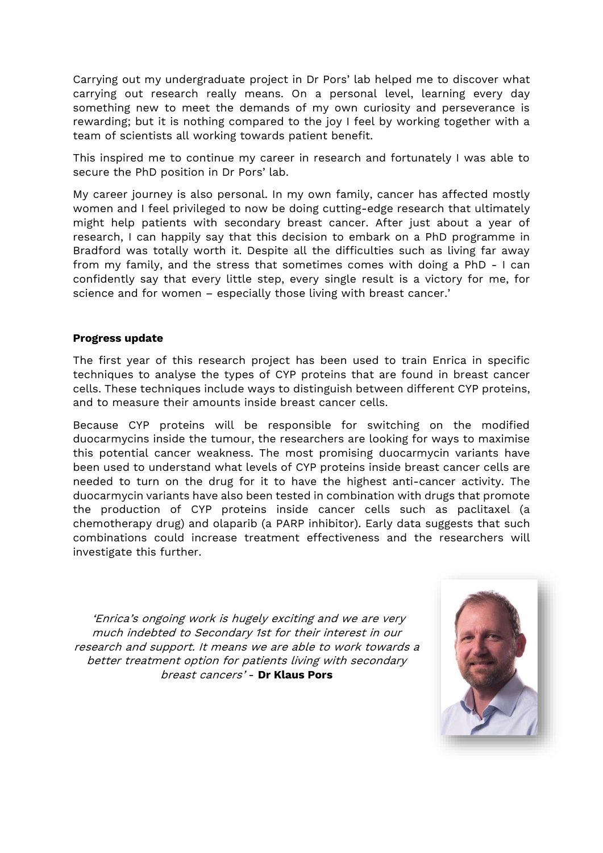Carrying out my undergraduate project in Dr Pors' lab helped me to discover what carrying out research really means. On a personal level, learning every day something new to meet the demands of my own curiosity and perseverance is rewarding; but it is nothing compared to the joy I feel by working together with a team of scientists all working towards patient benefit.

This inspired me to continue my career in research and fortunately I was able to secure the PhD position in Dr Pors' lab.

My career journey is also personal. In my own family, cancer has affected mostly women and I feel privileged to now be doing cutting-edge research that ultimately might help patients with secondary breast cancer. After just about a year of research, I can happily say that this decision to embark on a PhD programme in Bradford was totally worth it. Despite all the difficulties such as living far away from my family, and the stress that sometimes comes with doing a PhD - I can confidently say that every little step, every single result is a victory for me, for science and for women – especially those living with breast cancer.'

#### **Progress update**

The first year of this research project has been used to train Enrica in specific techniques to analyse the types of CYP proteins that are found in breast cancer cells. These techniques include ways to distinguish between different CYP proteins, and to measure their amounts inside breast cancer cells.

Because CYP proteins will be responsible for switching on the modified duocarmycins inside the tumour, the researchers are looking for ways to maximise this potential cancer weakness. The most promising duocarmycin variants have been used to understand what levels of CYP proteins inside breast cancer cells are needed to turn on the drug for it to have the highest anti-cancer activity. The duocarmycin variants have also been tested in combination with drugs that promote the production of CYP proteins inside cancer cells such as paclitaxel (a chemotherapy drug) and olaparib (a PARP inhibitor). Early data suggests that such combinations could increase treatment effectiveness and the researchers will investigate this further.

'Enrica's ongoing work is hugely exciting and we are very much indebted to Secondary 1st for their interest in our research and support. It means we are able to work towards a better treatment option for patients living with secondary breast cancers' - **Dr Klaus Pors**